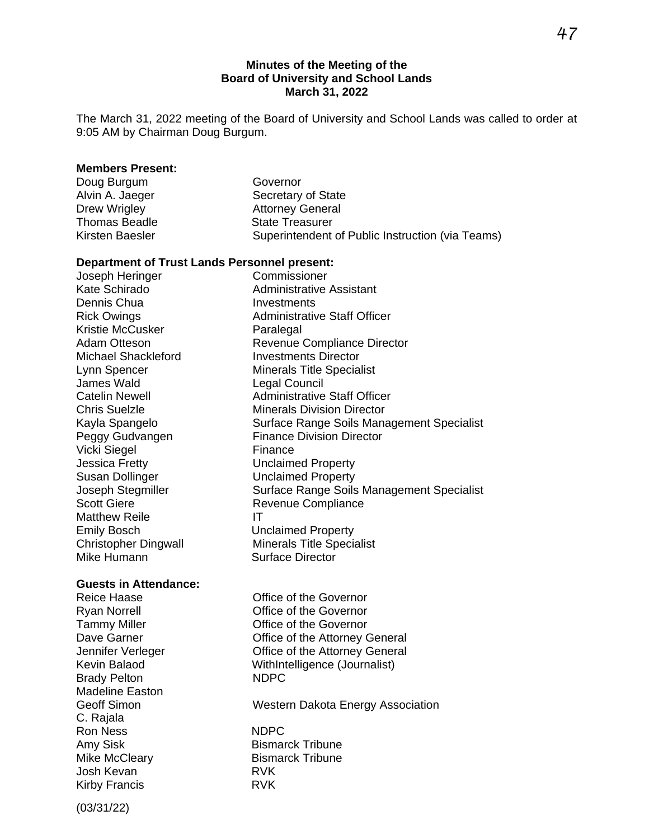#### **Minutes of the Meeting of the Board of University and School Lands March 31, 2022**

The March 31, 2022 meeting of the Board of University and School Lands was called to order at 9:05 AM by Chairman Doug Burgum.

#### **Members Present:**

| Doug Burgum     | Governor                                         |
|-----------------|--------------------------------------------------|
| Alvin A. Jaeger | Secretary of State                               |
| Drew Wrigley    | <b>Attorney General</b>                          |
| Thomas Beadle   | <b>State Treasurer</b>                           |
| Kirsten Baesler | Superintendent of Public Instruction (via Teams) |
|                 |                                                  |

#### **Department of Trust Lands Personnel present:**

| Joseph Heringer              | Commissioner                                     |
|------------------------------|--------------------------------------------------|
| Kate Schirado                | Administrative Assistant                         |
| Dennis Chua                  | Investments                                      |
| <b>Rick Owings</b>           | <b>Administrative Staff Officer</b>              |
| Kristie McCusker             | Paralegal                                        |
| <b>Adam Otteson</b>          | <b>Revenue Compliance Director</b>               |
| <b>Michael Shackleford</b>   | <b>Investments Director</b>                      |
| Lynn Spencer                 | <b>Minerals Title Specialist</b>                 |
| James Wald                   | Legal Council                                    |
| <b>Catelin Newell</b>        | <b>Administrative Staff Officer</b>              |
| <b>Chris Suelzle</b>         | <b>Minerals Division Director</b>                |
| Kayla Spangelo               | Surface Range Soils Management Specialist        |
| Peggy Gudvangen              | <b>Finance Division Director</b>                 |
| Vicki Siegel                 | Finance                                          |
| Jessica Fretty               | <b>Unclaimed Property</b>                        |
| Susan Dollinger              | <b>Unclaimed Property</b>                        |
| Joseph Stegmiller            | <b>Surface Range Soils Management Specialist</b> |
| <b>Scott Giere</b>           | Revenue Compliance                               |
| <b>Matthew Reile</b>         | ΙT                                               |
| <b>Emily Bosch</b>           | <b>Unclaimed Property</b>                        |
| <b>Christopher Dingwall</b>  | <b>Minerals Title Specialist</b>                 |
| Mike Humann                  | <b>Surface Director</b>                          |
|                              |                                                  |
| <b>Guests in Attendance:</b> |                                                  |
| <b>Reice Haase</b>           | Office of the Governor                           |
| <b>Ryan Norrell</b>          | Office of the Governor                           |
| <b>Tammy Miller</b>          | Office of the Governor                           |
| Dave Garner                  | Office of the Attorney General                   |
| Jennifer Verleger            | Office of the Attorney General                   |
| <b>Kevin Balaod</b>          | WithIntelligence (Journalist)                    |
| <b>Brady Pelton</b>          | <b>NDPC</b>                                      |

Geoff Simon Western Dakota Energy Association

Ron Ness NDPC Amy Sisk Bismarck Tribune<br>
Mike McCleary Bismarck Tribune Bismarck Tribune<br>RVK Kirby Francis **RVK** 

(03/31/22)

Josh Kevan

Brady Pelton Madeline Easton

C. Rajala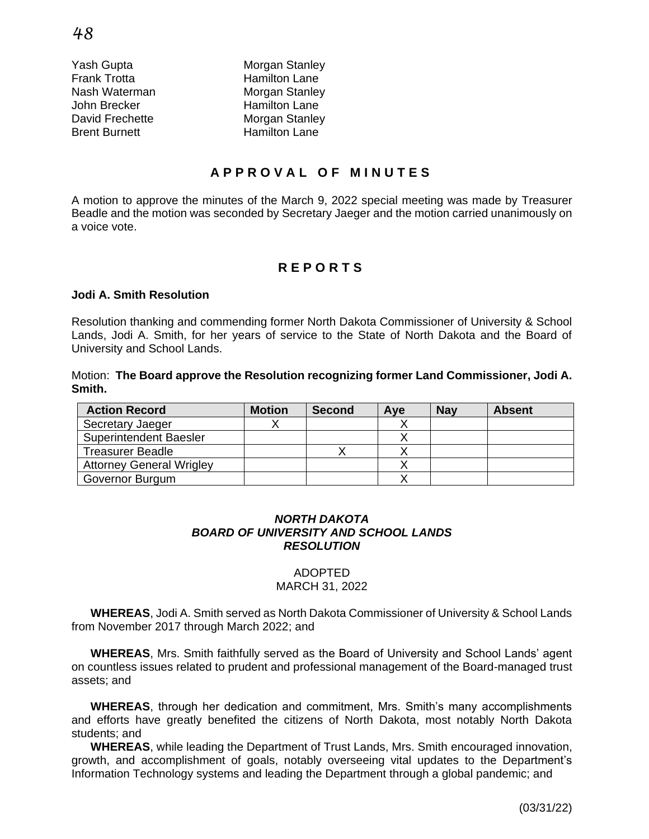Frank Trotta **Hamilton Lane** John Brecker **Hamilton** Lane Brent Burnett Hamilton Lane

Yash Gupta **Morgan** Stanley Nash Waterman Morgan Stanley David Frechette Morgan Stanley

# **A P P R O V A L O F M I N U T E S**

A motion to approve the minutes of the March 9, 2022 special meeting was made by Treasurer Beadle and the motion was seconded by Secretary Jaeger and the motion carried unanimously on a voice vote.

# **R E P O R T S**

#### **Jodi A. Smith Resolution**

Resolution thanking and commending former North Dakota Commissioner of University & School Lands, Jodi A. Smith, for her years of service to the State of North Dakota and the Board of University and School Lands.

Motion: **The Board approve the Resolution recognizing former Land Commissioner, Jodi A. Smith.**  Ĭ

| <b>Action Record</b>            | <b>Motion</b> | <b>Second</b> | Aye | <b>Nav</b> | <b>Absent</b> |
|---------------------------------|---------------|---------------|-----|------------|---------------|
| Secretary Jaeger                |               |               |     |            |               |
| <b>Superintendent Baesler</b>   |               |               |     |            |               |
| <b>Treasurer Beadle</b>         |               |               |     |            |               |
| <b>Attorney General Wrigley</b> |               |               |     |            |               |
| Governor Burgum                 |               |               |     |            |               |

#### *NORTH DAKOTA BOARD OF UNIVERSITY AND SCHOOL LANDS RESOLUTION*

#### ADOPTED MARCH 31, 2022

**WHEREAS**, Jodi A. Smith served as North Dakota Commissioner of University & School Lands from November 2017 through March 2022; and

**WHEREAS**, Mrs. Smith faithfully served as the Board of University and School Lands' agent on countless issues related to prudent and professional management of the Board-managed trust assets; and

**WHEREAS**, through her dedication and commitment, Mrs. Smith's many accomplishments and efforts have greatly benefited the citizens of North Dakota, most notably North Dakota students; and

**WHEREAS**, while leading the Department of Trust Lands, Mrs. Smith encouraged innovation, growth, and accomplishment of goals, notably overseeing vital updates to the Department's Information Technology systems and leading the Department through a global pandemic; and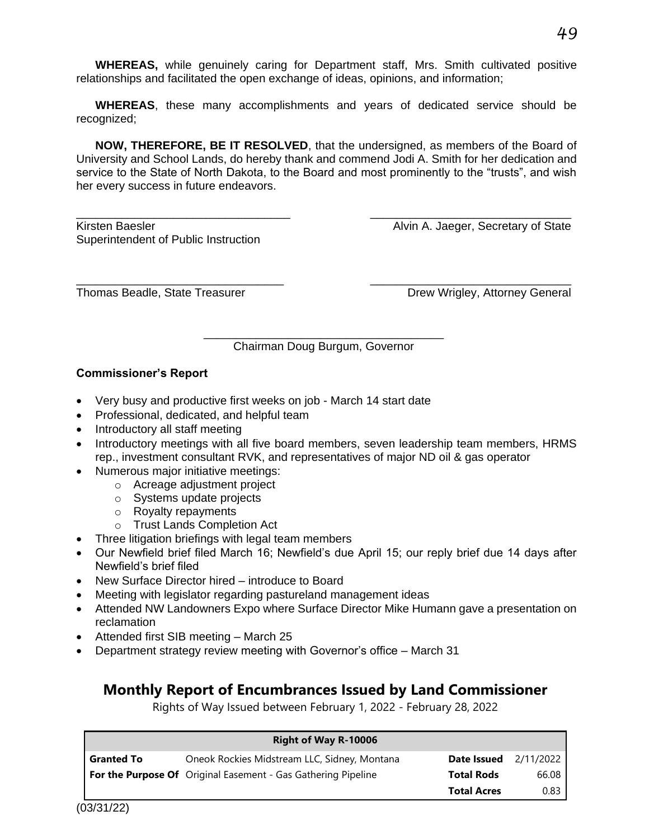**WHEREAS,** while genuinely caring for Department staff, Mrs. Smith cultivated positive relationships and facilitated the open exchange of ideas, opinions, and information;

**WHEREAS**, these many accomplishments and years of dedicated service should be recognized;

**NOW, THEREFORE, BE IT RESOLVED**, that the undersigned, as members of the Board of University and School Lands, do hereby thank and commend Jodi A. Smith for her dedication and service to the State of North Dakota, to the Board and most prominently to the "trusts", and wish her every success in future endeavors.

\_\_\_\_\_\_\_\_\_\_\_\_\_\_\_\_\_\_\_\_\_\_\_\_\_\_\_\_\_\_\_\_\_ \_\_\_\_\_\_\_\_\_\_\_\_\_\_\_\_\_\_\_\_\_\_\_\_\_\_\_\_\_\_\_ Kirsten Baesler **Alvin A. Jaeger, Secretary of State** Superintendent of Public Instruction

Thomas Beadle, State Treasurer **Drew Wrigley, Attorney General** 

\_\_\_\_\_\_\_\_\_\_\_\_\_\_\_\_\_\_\_\_\_\_\_\_\_\_\_\_\_\_\_\_\_\_\_\_\_ Chairman Doug Burgum, Governor

\_\_\_\_\_\_\_\_\_\_\_\_\_\_\_\_\_\_\_\_\_\_\_\_\_\_\_\_\_\_\_\_ \_\_\_\_\_\_\_\_\_\_\_\_\_\_\_\_\_\_\_\_\_\_\_\_\_\_\_\_\_\_\_

#### **Commissioner's Report**

- Very busy and productive first weeks on job March 14 start date
- Professional, dedicated, and helpful team
- Introductory all staff meeting
- Introductory meetings with all five board members, seven leadership team members, HRMS rep., investment consultant RVK, and representatives of major ND oil & gas operator
- Numerous major initiative meetings:
	- o Acreage adjustment project
		- o Systems update projects
		- o Royalty repayments
		- o Trust Lands Completion Act
- Three litigation briefings with legal team members
- Our Newfield brief filed March 16; Newfield's due April 15; our reply brief due 14 days after Newfield's brief filed
- New Surface Director hired introduce to Board
- Meeting with legislator regarding pastureland management ideas
- Attended NW Landowners Expo where Surface Director Mike Humann gave a presentation on reclamation
- Attended first SIB meeting March 25
- Department strategy review meeting with Governor's office March 31

# **Monthly Report of Encumbrances Issued by Land Commissioner**

Rights of Way Issued between February 1, 2022 - February 28, 2022

|                   | <b>Right of Way R-10006</b>                                          |                    |           |
|-------------------|----------------------------------------------------------------------|--------------------|-----------|
| <b>Granted To</b> | Oneok Rockies Midstream LLC, Sidney, Montana                         | Date Issued        | 2/11/2022 |
|                   | <b>For the Purpose Of</b> Original Easement - Gas Gathering Pipeline | <b>Total Rods</b>  | 66.08     |
|                   |                                                                      | <b>Total Acres</b> | 0.83      |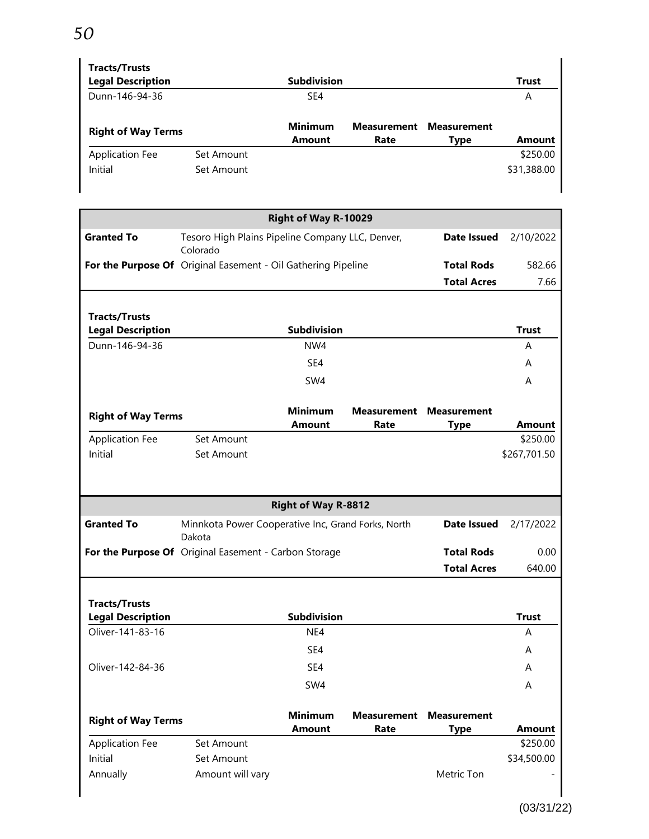# *50*

| <b>Tracts/Trusts</b><br><b>Legal Description</b> |            | <b>Subdivision</b>              |                            |                                   | <b>Trust</b>  |
|--------------------------------------------------|------------|---------------------------------|----------------------------|-----------------------------------|---------------|
| Dunn-146-94-36                                   |            | SE4                             |                            |                                   | A             |
| <b>Right of Way Terms</b>                        |            | <b>Minimum</b><br><b>Amount</b> | <b>Measurement</b><br>Rate | <b>Measurement</b><br><b>Type</b> | <b>Amount</b> |
| <b>Application Fee</b>                           | Set Amount |                                 |                            |                                   | \$250.00      |
| Initial                                          | Set Amount |                                 |                            |                                   | \$31,388.00   |

|                           |                                                               | Right of Way R-10029       |                    |                    |               |
|---------------------------|---------------------------------------------------------------|----------------------------|--------------------|--------------------|---------------|
| <b>Granted To</b>         | Tesoro High Plains Pipeline Company LLC, Denver,<br>Colorado  |                            |                    | <b>Date Issued</b> | 2/10/2022     |
|                           | For the Purpose Of Original Easement - Oil Gathering Pipeline |                            |                    | <b>Total Rods</b>  | 582.66        |
|                           |                                                               |                            |                    | <b>Total Acres</b> | 7.66          |
| <b>Tracts/Trusts</b>      |                                                               |                            |                    |                    |               |
| <b>Legal Description</b>  |                                                               | <b>Subdivision</b>         |                    |                    | <b>Trust</b>  |
| Dunn-146-94-36            |                                                               | NW4                        |                    |                    | A             |
|                           |                                                               | SE4                        |                    |                    | A             |
|                           |                                                               | SW4                        |                    |                    | A             |
| <b>Right of Way Terms</b> |                                                               | <b>Minimum</b>             | Measurement        | <b>Measurement</b> |               |
|                           |                                                               | <b>Amount</b>              | Rate               | <b>Type</b>        | <b>Amount</b> |
| <b>Application Fee</b>    | Set Amount                                                    |                            |                    |                    | \$250.00      |
| Initial                   | Set Amount                                                    |                            |                    |                    | \$267,701.50  |
|                           |                                                               |                            |                    |                    |               |
|                           |                                                               | <b>Right of Way R-8812</b> |                    |                    |               |
| <b>Granted To</b>         | Minnkota Power Cooperative Inc, Grand Forks, North<br>Dakota  |                            |                    | <b>Date Issued</b> | 2/17/2022     |
|                           | For the Purpose Of Original Easement - Carbon Storage         |                            |                    | <b>Total Rods</b>  | 0.00          |
|                           |                                                               |                            |                    | <b>Total Acres</b> | 640.00        |
| <b>Tracts/Trusts</b>      |                                                               |                            |                    |                    |               |
| <b>Legal Description</b>  |                                                               | <b>Subdivision</b>         |                    |                    | <b>Trust</b>  |
|                           |                                                               |                            |                    |                    |               |
| Oliver-141-83-16          |                                                               | NE4                        |                    |                    | A             |
|                           |                                                               | SE4                        |                    |                    | A             |
| Oliver-142-84-36          |                                                               | SE4                        |                    |                    | A             |
|                           |                                                               | SW4                        |                    |                    | A             |
|                           |                                                               | <b>Minimum</b>             | <b>Measurement</b> | <b>Measurement</b> |               |
| <b>Right of Way Terms</b> |                                                               | <b>Amount</b>              | Rate               | <b>Type</b>        | <b>Amount</b> |
| <b>Application Fee</b>    | Set Amount                                                    |                            |                    |                    | \$250.00      |
| Initial<br>Annually       | Set Amount<br>Amount will vary                                |                            |                    | Metric Ton         | \$34,500.00   |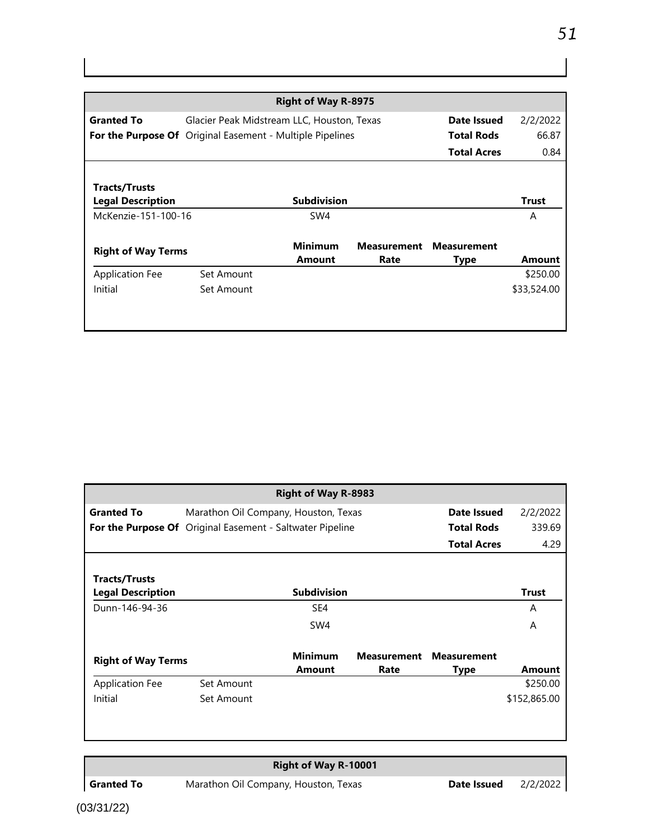|                                                           |                                            | <b>Right of Way R-8975</b> |                    |                    |              |
|-----------------------------------------------------------|--------------------------------------------|----------------------------|--------------------|--------------------|--------------|
| <b>Granted To</b>                                         | Glacier Peak Midstream LLC, Houston, Texas |                            |                    | Date Issued        | 2/2/2022     |
| For the Purpose Of Original Easement - Multiple Pipelines |                                            |                            |                    | <b>Total Rods</b>  | 66.87        |
|                                                           |                                            |                            |                    | <b>Total Acres</b> | 0.84         |
|                                                           |                                            |                            |                    |                    |              |
| Tracts/Trusts                                             |                                            |                            |                    |                    |              |
| <b>Legal Description</b>                                  |                                            | <b>Subdivision</b>         |                    |                    | <b>Trust</b> |
| McKenzie-151-100-16                                       |                                            | SW4                        |                    |                    | A            |
|                                                           |                                            |                            |                    |                    |              |
| <b>Right of Way Terms</b>                                 |                                            | <b>Minimum</b>             | <b>Measurement</b> | <b>Measurement</b> |              |
|                                                           |                                            | <b>Amount</b>              | Rate               | Type               | Amount       |
| <b>Application Fee</b>                                    | Set Amount                                 |                            |                    |                    | \$250.00     |
| Initial                                                   | Set Amount                                 |                            |                    |                    | \$33,524.00  |
|                                                           |                                            |                            |                    |                    |              |
|                                                           |                                            |                            |                    |                    |              |

|                                                  |                                                           | <b>Right of Way R-8983</b> |                            |                            |               |
|--------------------------------------------------|-----------------------------------------------------------|----------------------------|----------------------------|----------------------------|---------------|
| <b>Granted To</b>                                | Marathon Oil Company, Houston, Texas                      |                            |                            | Date Issued                | 2/2/2022      |
|                                                  | For the Purpose Of Original Easement - Saltwater Pipeline |                            |                            | <b>Total Rods</b>          | 339.69        |
|                                                  |                                                           |                            |                            | <b>Total Acres</b>         | 4.29          |
|                                                  |                                                           |                            |                            |                            |               |
| <b>Tracts/Trusts</b><br><b>Legal Description</b> |                                                           | <b>Subdivision</b>         |                            |                            | <b>Trust</b>  |
| Dunn-146-94-36                                   |                                                           | SE4                        |                            |                            | A             |
|                                                  |                                                           | SW4                        |                            |                            | A             |
| <b>Right of Way Terms</b>                        |                                                           | <b>Minimum</b><br>Amount   | <b>Measurement</b><br>Rate | <b>Measurement</b><br>Type | <b>Amount</b> |
| <b>Application Fee</b>                           | Set Amount                                                |                            |                            |                            | \$250.00      |
| Initial                                          | Set Amount                                                |                            |                            |                            | \$152,865.00  |
|                                                  |                                                           |                            |                            |                            |               |

# **Right of Way R-10001**

(03/31/22)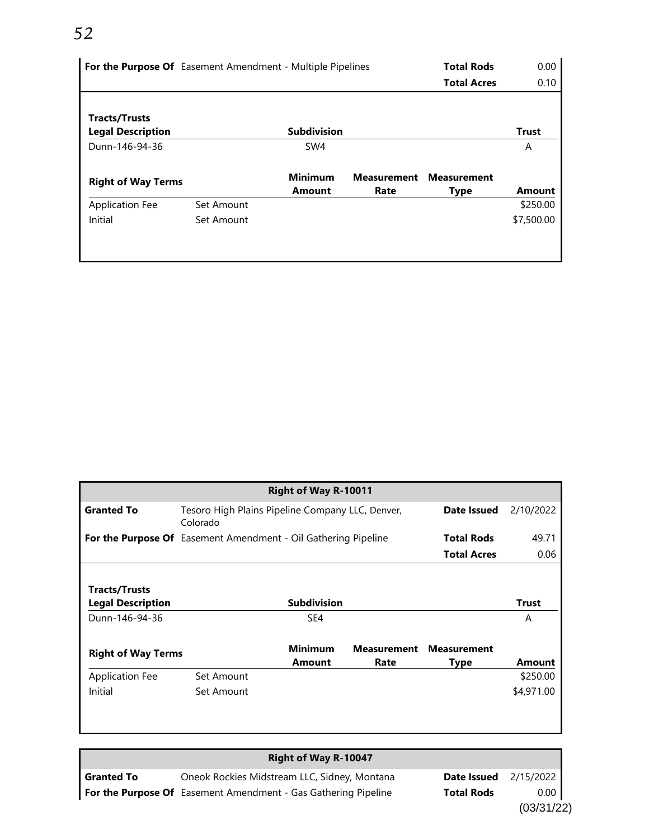# *52*

|                           | For the Purpose Of Easement Amendment - Multiple Pipelines |                 |                    | <b>Total Rods</b>  | 0.00          |
|---------------------------|------------------------------------------------------------|-----------------|--------------------|--------------------|---------------|
|                           |                                                            |                 |                    | <b>Total Acres</b> | 0.10          |
|                           |                                                            |                 |                    |                    |               |
| <b>Tracts/Trusts</b>      |                                                            |                 |                    |                    |               |
| <b>Legal Description</b>  |                                                            | Subdivision     |                    |                    | <b>Trust</b>  |
| Dunn-146-94-36            |                                                            | SW <sub>4</sub> |                    |                    | A             |
| <b>Right of Way Terms</b> |                                                            | <b>Minimum</b>  | <b>Measurement</b> | <b>Measurement</b> |               |
|                           |                                                            | <b>Amount</b>   | Rate               | <b>Type</b>        | <b>Amount</b> |
| <b>Application Fee</b>    | Set Amount                                                 |                 |                    |                    | \$250.00      |
| Initial                   | Set Amount                                                 |                 |                    |                    | \$7,500.00    |
|                           |                                                            |                 |                    |                    |               |
|                           |                                                            |                 |                    |                    |               |

|                                                                |                                                              | Right of Way R-10011            |                            |                            |              |
|----------------------------------------------------------------|--------------------------------------------------------------|---------------------------------|----------------------------|----------------------------|--------------|
| <b>Granted To</b>                                              | Tesoro High Plains Pipeline Company LLC, Denver,<br>Colorado |                                 |                            | Date Issued                | 2/10/2022    |
| For the Purpose Of Easement Amendment - Oil Gathering Pipeline |                                                              |                                 |                            | <b>Total Rods</b>          | 49.71        |
|                                                                |                                                              |                                 |                            | <b>Total Acres</b>         | 0.06         |
|                                                                |                                                              |                                 |                            |                            |              |
| Tracts/Trusts                                                  |                                                              |                                 |                            |                            |              |
| <b>Legal Description</b>                                       |                                                              | <b>Subdivision</b>              |                            |                            | <b>Trust</b> |
| Dunn-146-94-36                                                 |                                                              | SE4                             |                            |                            | A            |
| <b>Right of Way Terms</b>                                      |                                                              | <b>Minimum</b><br><b>Amount</b> | <b>Measurement</b><br>Rate | <b>Measurement</b><br>Type | Amount       |
| <b>Application Fee</b>                                         | Set Amount                                                   |                                 |                            |                            | \$250.00     |
| Initial                                                        | Set Amount                                                   |                                 |                            |                            | \$4,971.00   |
|                                                                |                                                              |                                 |                            |                            |              |

## **Right of Way R-10047**

| <b>Granted To</b> | Oneok Rockies Midstream LLC, Sidney, Montana                   | <b>Date Issued</b> 2/15/2022 |      |
|-------------------|----------------------------------------------------------------|------------------------------|------|
|                   | For the Purpose Of Easement Amendment - Gas Gathering Pipeline | <b>Total Rods</b>            | 0.00 |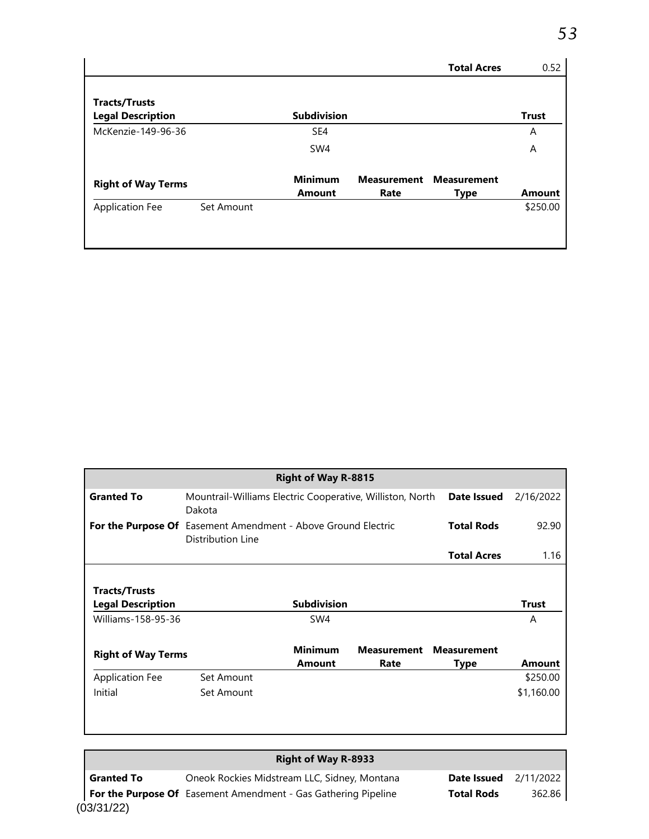| l Acroc | $\bigcap$ |
|---------|-----------|
|         |           |
|         |           |
|         |           |

|                           |            |                    |      | <b>Total Acres</b>             | 0.52          |
|---------------------------|------------|--------------------|------|--------------------------------|---------------|
| <b>Tracts/Trusts</b>      |            |                    |      |                                |               |
| <b>Legal Description</b>  |            | <b>Subdivision</b> |      |                                | <b>Trust</b>  |
| McKenzie-149-96-36        |            | SE4                |      |                                | A             |
|                           |            | SW4                |      |                                | A             |
| <b>Right of Way Terms</b> |            | <b>Minimum</b>     |      | <b>Measurement Measurement</b> |               |
|                           |            | <b>Amount</b>      | Rate | <b>Type</b>                    | <b>Amount</b> |
| <b>Application Fee</b>    | Set Amount |                    |      |                                | \$250.00      |
|                           |            |                    |      |                                |               |
|                           |            |                    |      |                                |               |

|                           |                                                                                           | <b>Right of Way R-8815</b> |                    |                    |                    |
|---------------------------|-------------------------------------------------------------------------------------------|----------------------------|--------------------|--------------------|--------------------|
| <b>Granted To</b>         | Mountrail-Williams Electric Cooperative, Williston, North<br>Date Issued<br>Dakota        |                            |                    |                    |                    |
|                           | <b>For the Purpose Of</b> Easement Amendment - Above Ground Electric<br>Distribution Line |                            |                    | <b>Total Rods</b>  | 92.90              |
|                           |                                                                                           |                            |                    | <b>Total Acres</b> | 1.16               |
| Tracts/Trusts             |                                                                                           |                            |                    |                    |                    |
| <b>Legal Description</b>  |                                                                                           | <b>Subdivision</b>         |                    |                    | <b>Trust</b>       |
| Williams-158-95-36        |                                                                                           | SW4                        |                    |                    | A                  |
| <b>Right of Way Terms</b> |                                                                                           | <b>Minimum</b>             | <b>Measurement</b> | <b>Measurement</b> |                    |
| <b>Application Fee</b>    | Set Amount                                                                                | <b>Amount</b>              | Rate               | Type               | Amount<br>\$250.00 |

# **Right of Way R-8933**

(03/31/22) **Granted To** Oneok Rockies Midstream LLC, Sidney, Montana **Date Issued** 2/11/2022 **For the Purpose Of** Easement Amendment - Gas Gathering Pipeline **Total Rods** 362.86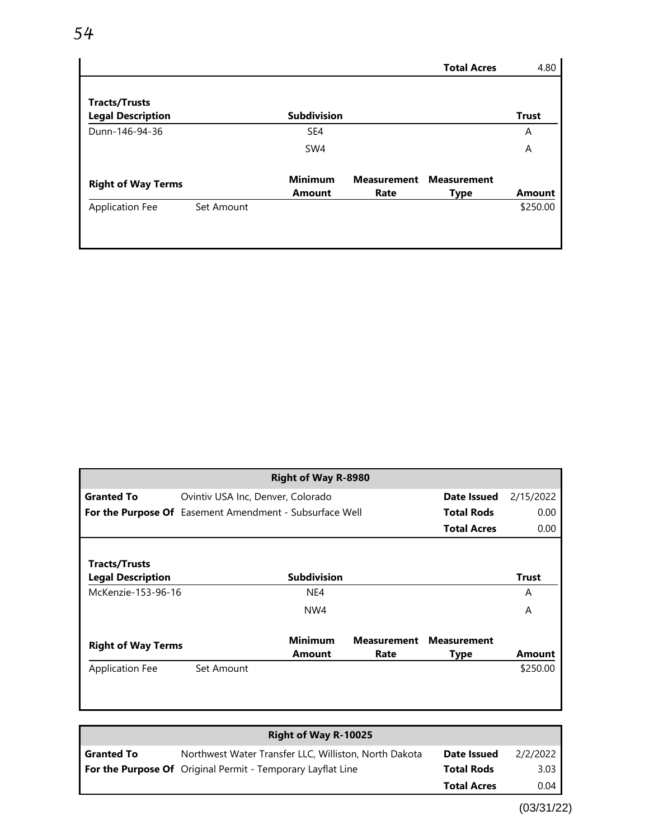|                                                  |            |                                 |                            | <b>Total Acres</b>                | 4.80          |
|--------------------------------------------------|------------|---------------------------------|----------------------------|-----------------------------------|---------------|
| <b>Tracts/Trusts</b><br><b>Legal Description</b> |            | <b>Subdivision</b>              |                            |                                   | <b>Trust</b>  |
| Dunn-146-94-36                                   |            | SE4                             |                            |                                   | A             |
|                                                  |            | SW4                             |                            |                                   | A             |
| <b>Right of Way Terms</b>                        |            | <b>Minimum</b><br><b>Amount</b> | <b>Measurement</b><br>Rate | <b>Measurement</b><br><b>Type</b> | <b>Amount</b> |
| <b>Application Fee</b>                           | Set Amount |                                 |                            |                                   | \$250.00      |
|                                                  |            |                                 |                            |                                   |               |

|                                                         |                                   | <b>Right of Way R-8980</b> |                    |                    |              |
|---------------------------------------------------------|-----------------------------------|----------------------------|--------------------|--------------------|--------------|
| <b>Granted To</b>                                       | Ovintiv USA Inc, Denver, Colorado |                            |                    | Date Issued        | 2/15/2022    |
| For the Purpose Of Easement Amendment - Subsurface Well |                                   |                            |                    | <b>Total Rods</b>  | 0.00         |
|                                                         |                                   |                            |                    | <b>Total Acres</b> | 0.00         |
|                                                         |                                   |                            |                    |                    |              |
| <b>Tracts/Trusts</b>                                    |                                   |                            |                    |                    |              |
| <b>Legal Description</b>                                |                                   | <b>Subdivision</b>         |                    |                    | <b>Trust</b> |
| McKenzie-153-96-16                                      |                                   | NE4                        |                    |                    | A            |
|                                                         |                                   | NW4                        |                    |                    | A            |
|                                                         |                                   |                            |                    |                    |              |
| <b>Right of Way Terms</b>                               |                                   | <b>Minimum</b>             | <b>Measurement</b> | <b>Measurement</b> |              |
|                                                         |                                   | <b>Amount</b>              | Rate               | <b>Type</b>        | Amount       |
| <b>Application Fee</b>                                  | Set Amount                        |                            |                    |                    | \$250.00     |
|                                                         |                                   |                            |                    |                    |              |
|                                                         |                                   |                            |                    |                    |              |

|                   | <b>Right of Way R-10025</b>                                        |                    |          |
|-------------------|--------------------------------------------------------------------|--------------------|----------|
| <b>Granted To</b> | Northwest Water Transfer LLC, Williston, North Dakota              | Date Issued        | 2/2/2022 |
|                   | <b>For the Purpose Of</b> Original Permit - Temporary Layflat Line | <b>Total Rods</b>  | 3.03     |
|                   |                                                                    | <b>Total Acres</b> | 0.04     |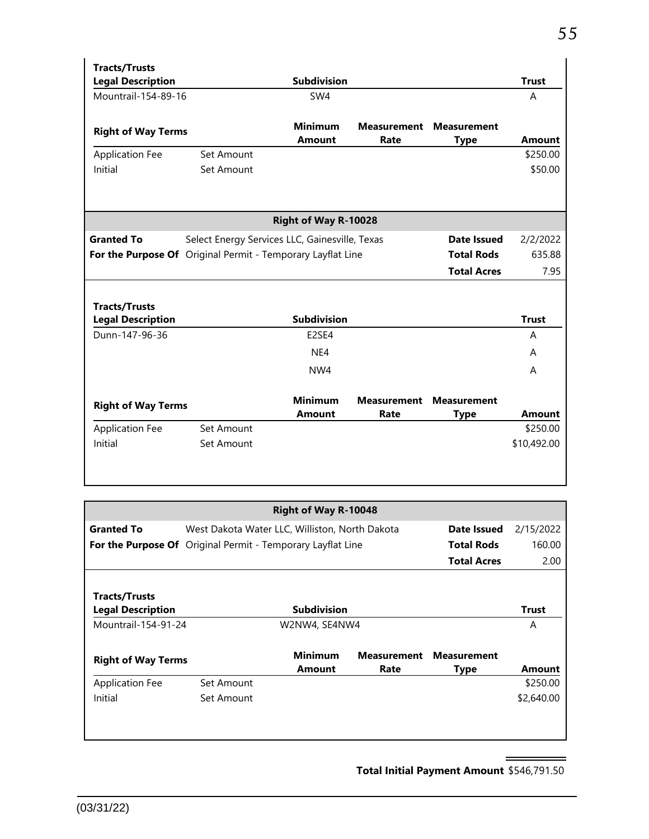| <b>Tracts/Trusts</b>      |                                                             |                             |                    |                    |               |
|---------------------------|-------------------------------------------------------------|-----------------------------|--------------------|--------------------|---------------|
| <b>Legal Description</b>  |                                                             | <b>Subdivision</b>          |                    |                    | <b>Trust</b>  |
| Mountrail-154-89-16       |                                                             | SW4                         |                    |                    | A             |
|                           |                                                             | <b>Minimum</b>              | <b>Measurement</b> | <b>Measurement</b> |               |
| <b>Right of Way Terms</b> |                                                             |                             |                    |                    |               |
|                           |                                                             | <b>Amount</b>               | Rate               | <b>Type</b>        | <b>Amount</b> |
| <b>Application Fee</b>    | Set Amount                                                  |                             |                    |                    | \$250.00      |
| Initial                   | Set Amount                                                  |                             |                    |                    | \$50.00       |
|                           |                                                             |                             |                    |                    |               |
|                           |                                                             | <b>Right of Way R-10028</b> |                    |                    |               |
| <b>Granted To</b>         | Select Energy Services LLC, Gainesville, Texas              |                             |                    | <b>Date Issued</b> | 2/2/2022      |
|                           | For the Purpose Of Original Permit - Temporary Layflat Line |                             |                    | <b>Total Rods</b>  | 635.88        |
|                           |                                                             |                             |                    | <b>Total Acres</b> | 7.95          |
|                           |                                                             |                             |                    |                    |               |
| <b>Tracts/Trusts</b>      |                                                             |                             |                    |                    |               |
| <b>Legal Description</b>  |                                                             | <b>Subdivision</b>          |                    |                    | <b>Trust</b>  |
| Dunn-147-96-36            |                                                             | E2SE4                       |                    |                    | A             |
|                           |                                                             | NE4                         |                    |                    | A             |
|                           |                                                             | NW4                         |                    |                    | A             |
|                           |                                                             |                             |                    |                    |               |
| <b>Right of Way Terms</b> |                                                             | <b>Minimum</b>              | <b>Measurement</b> | <b>Measurement</b> |               |
|                           |                                                             | <b>Amount</b>               | Rate               | <b>Type</b>        | <b>Amount</b> |
| <b>Application Fee</b>    | Set Amount                                                  |                             |                    |                    | \$250.00      |
| Initial                   | Set Amount                                                  |                             |                    |                    | \$10,492.00   |
|                           |                                                             |                             |                    |                    |               |
|                           |                                                             |                             |                    |                    |               |

|                                                             |                                                | <b>Right of Way R-10048</b> |      |                                |            |
|-------------------------------------------------------------|------------------------------------------------|-----------------------------|------|--------------------------------|------------|
| <b>Granted To</b>                                           | West Dakota Water LLC, Williston, North Dakota |                             |      | Date Issued                    | 2/15/2022  |
| For the Purpose Of Original Permit - Temporary Layflat Line |                                                |                             |      | <b>Total Rods</b>              | 160.00     |
|                                                             |                                                |                             |      | <b>Total Acres</b>             | 2.00       |
|                                                             |                                                |                             |      |                                |            |
| <b>Tracts/Trusts</b>                                        |                                                |                             |      |                                |            |
| <b>Legal Description</b>                                    |                                                | <b>Subdivision</b>          |      |                                | Trust      |
| Mountrail-154-91-24                                         |                                                | W2NW4, SE4NW4               |      |                                | A          |
| <b>Right of Way Terms</b>                                   |                                                | <b>Minimum</b>              |      | <b>Measurement Measurement</b> |            |
|                                                             |                                                | <b>Amount</b>               | Rate | <b>Type</b>                    | Amount     |
| <b>Application Fee</b>                                      | Set Amount                                     |                             |      |                                | \$250.00   |
| Initial                                                     | Set Amount                                     |                             |      |                                | \$2,640.00 |
|                                                             |                                                |                             |      |                                |            |
|                                                             |                                                |                             |      |                                |            |

**Total Initial Payment Amount** \$546,791.50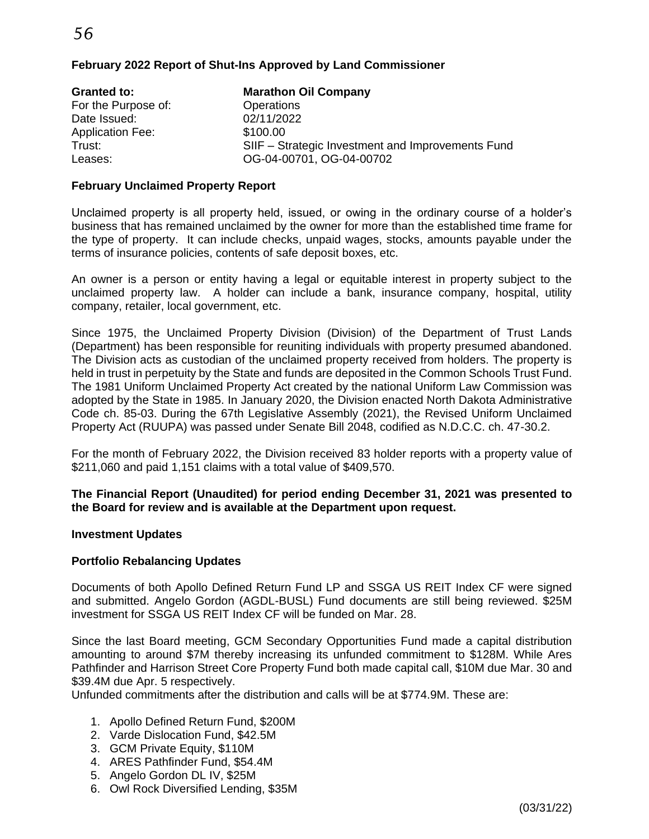*56*

#### **February 2022 Report of Shut-Ins Approved by Land Commissioner**

| <b>Granted to:</b>      | <b>Marathon Oil Company</b>                       |
|-------------------------|---------------------------------------------------|
| For the Purpose of:     | Operations                                        |
| Date Issued:            | 02/11/2022                                        |
| <b>Application Fee:</b> | \$100.00                                          |
| Trust:                  | SIIF - Strategic Investment and Improvements Fund |
| Leases:                 | OG-04-00701, OG-04-00702                          |

#### **February Unclaimed Property Report**

Unclaimed property is all property held, issued, or owing in the ordinary course of a holder's business that has remained unclaimed by the owner for more than the established time frame for the type of property. It can include checks, unpaid wages, stocks, amounts payable under the terms of insurance policies, contents of safe deposit boxes, etc.

An owner is a person or entity having a legal or equitable interest in property subject to the unclaimed property law. A holder can include a bank, insurance company, hospital, utility company, retailer, local government, etc.

Since 1975, the Unclaimed Property Division (Division) of the Department of Trust Lands (Department) has been responsible for reuniting individuals with property presumed abandoned. The Division acts as custodian of the unclaimed property received from holders. The property is held in trust in perpetuity by the State and funds are deposited in the Common Schools Trust Fund. The 1981 Uniform Unclaimed Property Act created by the national Uniform Law Commission was adopted by the State in 1985. In January 2020, the Division enacted North Dakota Administrative Code ch. 85-03. During the 67th Legislative Assembly (2021), the Revised Uniform Unclaimed Property Act (RUUPA) was passed under Senate Bill 2048, codified as N.D.C.C. ch. 47-30.2.

For the month of February 2022, the Division received 83 holder reports with a property value of \$211,060 and paid 1,151 claims with a total value of \$409,570.

#### **The Financial Report (Unaudited) for period ending December 31, 2021 was presented to the Board for review and is available at the Department upon request.**

#### **Investment Updates**

#### **Portfolio Rebalancing Updates**

Documents of both Apollo Defined Return Fund LP and SSGA US REIT Index CF were signed and submitted. Angelo Gordon (AGDL-BUSL) Fund documents are still being reviewed. \$25M investment for SSGA US REIT Index CF will be funded on Mar. 28.

Since the last Board meeting, GCM Secondary Opportunities Fund made a capital distribution amounting to around \$7M thereby increasing its unfunded commitment to \$128M. While Ares Pathfinder and Harrison Street Core Property Fund both made capital call, \$10M due Mar. 30 and \$39.4M due Apr. 5 respectively.

Unfunded commitments after the distribution and calls will be at \$774.9M. These are:

- 1. Apollo Defined Return Fund, \$200M
- 2. Varde Dislocation Fund, \$42.5M
- 3. GCM Private Equity, \$110M
- 4. ARES Pathfinder Fund, \$54.4M
- 5. Angelo Gordon DL IV, \$25M
- 6. Owl Rock Diversified Lending, \$35M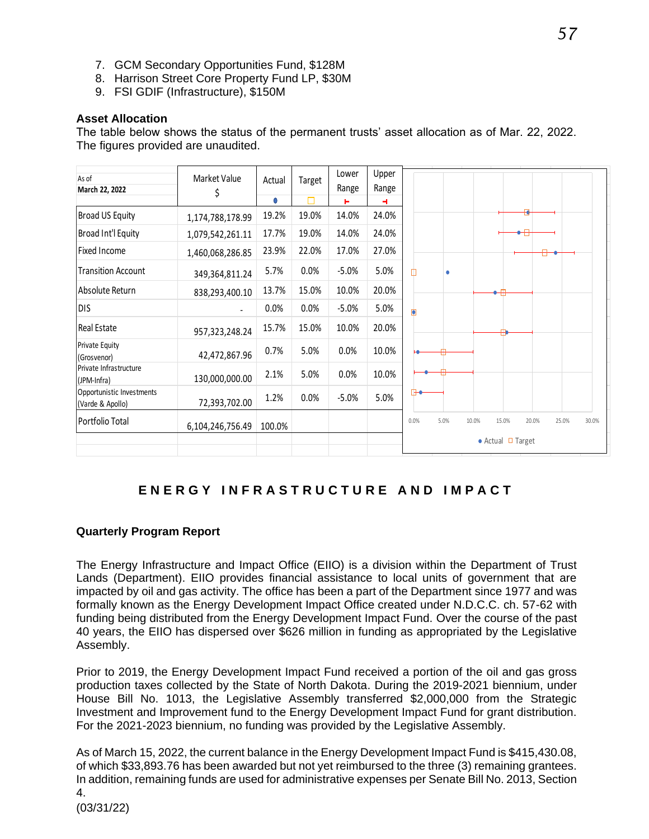- 7. GCM Secondary Opportunities Fund, \$128M
- 8. Harrison Street Core Property Fund LP, \$30M
- 9. FSI GDIF (Infrastructure), \$150M

#### **Asset Allocation**

The table below shows the status of the permanent trusts' asset allocation as of Mar. 22, 2022. The figures provided are unaudited.

| As of                                         | Market Value     |            |        | Lower   | Upper |                                                           |
|-----------------------------------------------|------------------|------------|--------|---------|-------|-----------------------------------------------------------|
| March 22, 2022                                | \$               | Actual     | Target | Range   | Range |                                                           |
|                                               |                  | $\bigcirc$ | П      | ь       | ٠     |                                                           |
| <b>Broad US Equity</b>                        | 1,174,788,178.99 | 19.2%      | 19.0%  | 14.0%   | 24.0% |                                                           |
| Broad Int'l Equity                            | 1,079,542,261.11 | 17.7%      | 19.0%  | 14.0%   | 24.0% |                                                           |
| <b>Fixed Income</b>                           | 1,460,068,286.85 | 23.9%      | 22.0%  | 17.0%   | 27.0% |                                                           |
| <b>Transition Account</b>                     | 349,364,811.24   | 5.7%       | 0.0%   | $-5.0%$ | 5.0%  | Щ                                                         |
| Absolute Return                               | 838,293,400.10   | 13.7%      | 15.0%  | 10.0%   | 20.0% |                                                           |
| <b>DIS</b>                                    |                  | 0.0%       | 0.0%   | $-5.0%$ | 5.0%  | Ò                                                         |
| Real Estate                                   | 957,323,248.24   | 15.7%      | 15.0%  | 10.0%   | 20.0% |                                                           |
| <b>Private Equity</b><br>(Grosvenor)          | 42,472,867.96    | 0.7%       | 5.0%   | 0.0%    | 10.0% |                                                           |
| Private Infrastructure<br>(JPM-Infra)         | 130,000,000.00   | 2.1%       | 5.0%   | 0.0%    | 10.0% |                                                           |
| Opportunistic Investments<br>(Varde & Apollo) | 72,393,702.00    | 1.2%       | 0.0%   | $-5.0%$ | 5.0%  | ⊩                                                         |
| Portfolio Total                               | 6,104,246,756.49 | 100.0%     |        |         |       | 0.0%<br>5.0%<br>10.0%<br>15.0%<br>20.0%<br>25.0%<br>30.0% |
|                                               |                  |            |        |         |       | $\bullet$ Actual $\Box$ Target                            |

# **E N E R G Y I N F R A S T R U C T U R E A N D I M P A C T**

#### **Quarterly Program Report**

The Energy Infrastructure and Impact Office (EIIO) is a division within the Department of Trust Lands (Department). EIIO provides financial assistance to local units of government that are impacted by oil and gas activity. The office has been a part of the Department since 1977 and was formally known as the Energy Development Impact Office created under N.D.C.C. ch. 57-62 with funding being distributed from the Energy Development Impact Fund. Over the course of the past 40 years, the EIIO has dispersed over \$626 million in funding as appropriated by the Legislative Assembly.

Prior to 2019, the Energy Development Impact Fund received a portion of the oil and gas gross production taxes collected by the State of North Dakota. During the 2019-2021 biennium, under House Bill No. 1013, the Legislative Assembly transferred \$2,000,000 from the Strategic Investment and Improvement fund to the Energy Development Impact Fund for grant distribution. For the 2021-2023 biennium, no funding was provided by the Legislative Assembly.

(03/31/22) As of March 15, 2022, the current balance in the Energy Development Impact Fund is \$415,430.08, of which \$33,893.76 has been awarded but not yet reimbursed to the three (3) remaining grantees. In addition, remaining funds are used for administrative expenses per Senate Bill No. 2013, Section 4.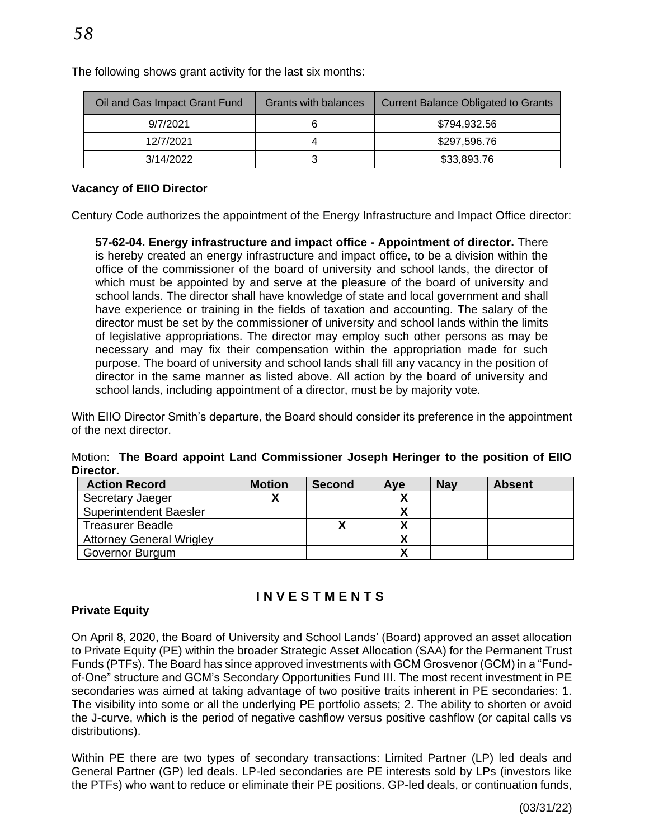| Oil and Gas Impact Grant Fund | Grants with balances | <b>Current Balance Obligated to Grants</b> |
|-------------------------------|----------------------|--------------------------------------------|
| 9/7/2021                      |                      | \$794,932.56                               |
| 12/7/2021                     |                      | \$297,596.76                               |
| 3/14/2022                     |                      | \$33,893.76                                |

The following shows grant activity for the last six months:

#### **Vacancy of EIIO Director**

Century Code authorizes the appointment of the Energy Infrastructure and Impact Office director:

**57-62-04. Energy infrastructure and impact office - Appointment of director.** There is hereby created an energy infrastructure and impact office, to be a division within the office of the commissioner of the board of university and school lands, the director of which must be appointed by and serve at the pleasure of the board of university and school lands. The director shall have knowledge of state and local government and shall have experience or training in the fields of taxation and accounting. The salary of the director must be set by the commissioner of university and school lands within the limits of legislative appropriations. The director may employ such other persons as may be necessary and may fix their compensation within the appropriation made for such purpose. The board of university and school lands shall fill any vacancy in the position of director in the same manner as listed above. All action by the board of university and school lands, including appointment of a director, must be by majority vote.

With EIIO Director Smith's departure, the Board should consider its preference in the appointment of the next director.

|           |  |  | Motion: The Board appoint Land Commissioner Joseph Heringer to the position of EllO |  |  |  |  |
|-----------|--|--|-------------------------------------------------------------------------------------|--|--|--|--|
| Director. |  |  |                                                                                     |  |  |  |  |
|           |  |  |                                                                                     |  |  |  |  |

| <b>Action Record</b>            | <b>Motion</b> | Second | Ave | <b>Nay</b> | <b>Absent</b> |
|---------------------------------|---------------|--------|-----|------------|---------------|
| Secretary Jaeger                |               |        |     |            |               |
| <b>Superintendent Baesler</b>   |               |        |     |            |               |
| <b>Treasurer Beadle</b>         |               |        |     |            |               |
| <b>Attorney General Wrigley</b> |               |        |     |            |               |
| Governor Burgum                 |               |        |     |            |               |

# **I N V E S T M E N T S**

#### **Private Equity**

On April 8, 2020, the Board of University and School Lands' (Board) approved an asset allocation to Private Equity (PE) within the broader Strategic Asset Allocation (SAA) for the Permanent Trust Funds (PTFs). The Board has since approved investments with GCM Grosvenor (GCM) in a "Fundof-One" structure and GCM's Secondary Opportunities Fund III. The most recent investment in PE secondaries was aimed at taking advantage of two positive traits inherent in PE secondaries: 1. The visibility into some or all the underlying PE portfolio assets; 2. The ability to shorten or avoid the J-curve, which is the period of negative cashflow versus positive cashflow (or capital calls vs distributions).

Within PE there are two types of secondary transactions: Limited Partner (LP) led deals and General Partner (GP) led deals. LP-led secondaries are PE interests sold by LPs (investors like the PTFs) who want to reduce or eliminate their PE positions. GP-led deals, or continuation funds,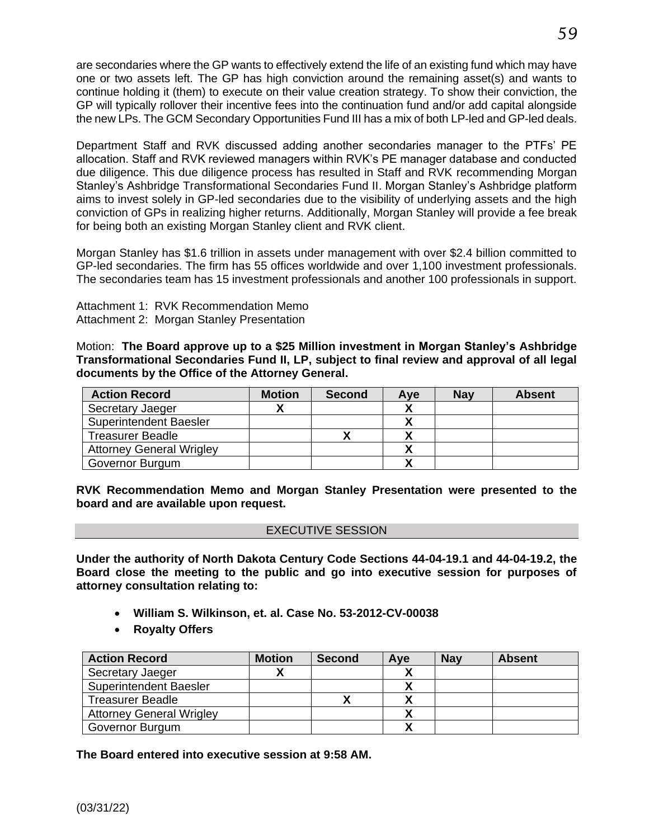are secondaries where the GP wants to effectively extend the life of an existing fund which may have one or two assets left. The GP has high conviction around the remaining asset(s) and wants to continue holding it (them) to execute on their value creation strategy. To show their conviction, the GP will typically rollover their incentive fees into the continuation fund and/or add capital alongside the new LPs. The GCM Secondary Opportunities Fund III has a mix of both LP-led and GP-led deals.

Department Staff and RVK discussed adding another secondaries manager to the PTFs' PE allocation. Staff and RVK reviewed managers within RVK's PE manager database and conducted due diligence. This due diligence process has resulted in Staff and RVK recommending Morgan Stanley's Ashbridge Transformational Secondaries Fund II. Morgan Stanley's Ashbridge platform aims to invest solely in GP-led secondaries due to the visibility of underlying assets and the high conviction of GPs in realizing higher returns. Additionally, Morgan Stanley will provide a fee break for being both an existing Morgan Stanley client and RVK client.

Morgan Stanley has \$1.6 trillion in assets under management with over \$2.4 billion committed to GP-led secondaries. The firm has 55 offices worldwide and over 1,100 investment professionals. The secondaries team has 15 investment professionals and another 100 professionals in support.

Attachment 1: RVK Recommendation Memo Attachment 2: Morgan Stanley Presentation

Motion: **The Board approve up to a \$25 Million investment in Morgan Stanley's Ashbridge Transformational Secondaries Fund II, LP, subject to final review and approval of all legal documents by the Office of the Attorney General.**

| <b>Action Record</b>            | <b>Motion</b> | <b>Second</b> | Ave | <b>Nav</b> | <b>Absent</b> |
|---------------------------------|---------------|---------------|-----|------------|---------------|
| Secretary Jaeger                |               |               |     |            |               |
| <b>Superintendent Baesler</b>   |               |               |     |            |               |
| <b>Treasurer Beadle</b>         |               |               |     |            |               |
| <b>Attorney General Wrigley</b> |               |               |     |            |               |
| Governor Burgum                 |               |               |     |            |               |

**RVK Recommendation Memo and Morgan Stanley Presentation were presented to the board and are available upon request.** 

#### EXECUTIVE SESSION

**Under the authority of North Dakota Century Code Sections 44-04-19.1 and 44-04-19.2, the Board close the meeting to the public and go into executive session for purposes of attorney consultation relating to:** 

- **William S. Wilkinson, et. al. Case No. 53-2012-CV-00038**
- **Royalty Offers**

| <b>Action Record</b>            | <b>Motion</b> | <b>Second</b> | Ave | <b>Nav</b> | <b>Absent</b> |
|---------------------------------|---------------|---------------|-----|------------|---------------|
| Secretary Jaeger                |               |               |     |            |               |
| <b>Superintendent Baesler</b>   |               |               |     |            |               |
| <b>Treasurer Beadle</b>         |               |               |     |            |               |
| <b>Attorney General Wrigley</b> |               |               |     |            |               |
| Governor Burgum                 |               |               |     |            |               |

**The Board entered into executive session at 9:58 AM.**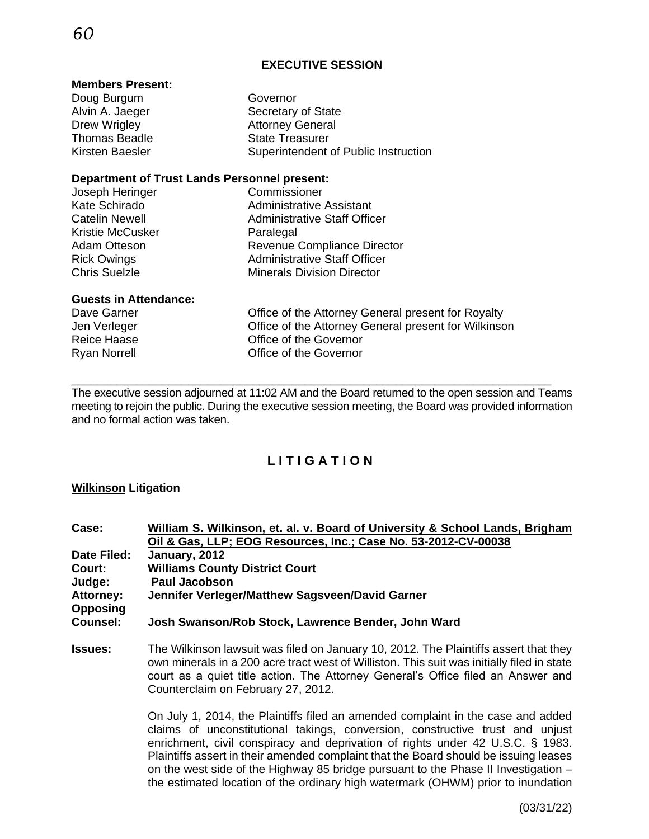#### **EXECUTIVE SESSION**

#### **Members Present:**

| Doug Burgum                                         | Governor                                           |  |  |
|-----------------------------------------------------|----------------------------------------------------|--|--|
| Alvin A. Jaeger                                     | Secretary of State                                 |  |  |
| Drew Wrigley                                        | <b>Attorney General</b>                            |  |  |
| <b>Thomas Beadle</b>                                | <b>State Treasurer</b>                             |  |  |
| Kirsten Baesler                                     | Superintendent of Public Instruction               |  |  |
| <b>Department of Trust Lands Personnel present:</b> |                                                    |  |  |
| Joseph Heringer                                     | Commissioner                                       |  |  |
| Kate Schirado                                       | <b>Administrative Assistant</b>                    |  |  |
| <b>Catelin Newell</b>                               | <b>Administrative Staff Officer</b>                |  |  |
| Kristie McCusker                                    | Paralegal                                          |  |  |
| Adam Otteson                                        | Revenue Compliance Director                        |  |  |
| <b>Rick Owings</b>                                  | <b>Administrative Staff Officer</b>                |  |  |
| <b>Chris Suelzle</b>                                | <b>Minerals Division Director</b>                  |  |  |
| <b>Guests in Attendance:</b>                        |                                                    |  |  |
| Dave Garner                                         | Office of the Attorney General present for Royalty |  |  |

Jen Verleger Office of the Attorney General present for Wilkinson Reice Haase Office of the Governor Ryan Norrell **No. 2018** Office of the Governor

\_\_\_\_\_\_\_\_\_\_\_\_\_\_\_\_\_\_\_\_\_\_\_\_\_\_\_\_\_\_\_\_\_\_\_\_\_\_\_\_\_\_\_\_\_\_\_\_\_\_\_\_\_\_\_\_\_\_\_\_\_\_\_\_\_\_\_\_\_\_\_\_\_\_ The executive session adjourned at 11:02 AM and the Board returned to the open session and Teams meeting to rejoin the public. During the executive session meeting, the Board was provided information and no formal action was taken.

### **L I T I G A T I O N**

#### **Wilkinson Litigation**

| William S. Wilkinson, et. al. v. Board of University & School Lands, Brigham |
|------------------------------------------------------------------------------|
| Oil & Gas, LLP; EOG Resources, Inc.; Case No. 53-2012-CV-00038               |
| January, 2012                                                                |
| <b>Williams County District Court</b>                                        |
| <b>Paul Jacobson</b>                                                         |
| Jennifer Verleger/Matthew Sagsveen/David Garner                              |
|                                                                              |
| Josh Swanson/Rob Stock, Lawrence Bender, John Ward                           |
|                                                                              |
|                                                                              |

**Issues:** The Wilkinson lawsuit was filed on January 10, 2012. The Plaintiffs assert that they own minerals in a 200 acre tract west of Williston. This suit was initially filed in state court as a quiet title action. The Attorney General's Office filed an Answer and Counterclaim on February 27, 2012.

> On July 1, 2014, the Plaintiffs filed an amended complaint in the case and added claims of unconstitutional takings, conversion, constructive trust and unjust enrichment, civil conspiracy and deprivation of rights under 42 U.S.C. § 1983. Plaintiffs assert in their amended complaint that the Board should be issuing leases on the west side of the Highway 85 bridge pursuant to the Phase II Investigation – the estimated location of the ordinary high watermark (OHWM) prior to inundation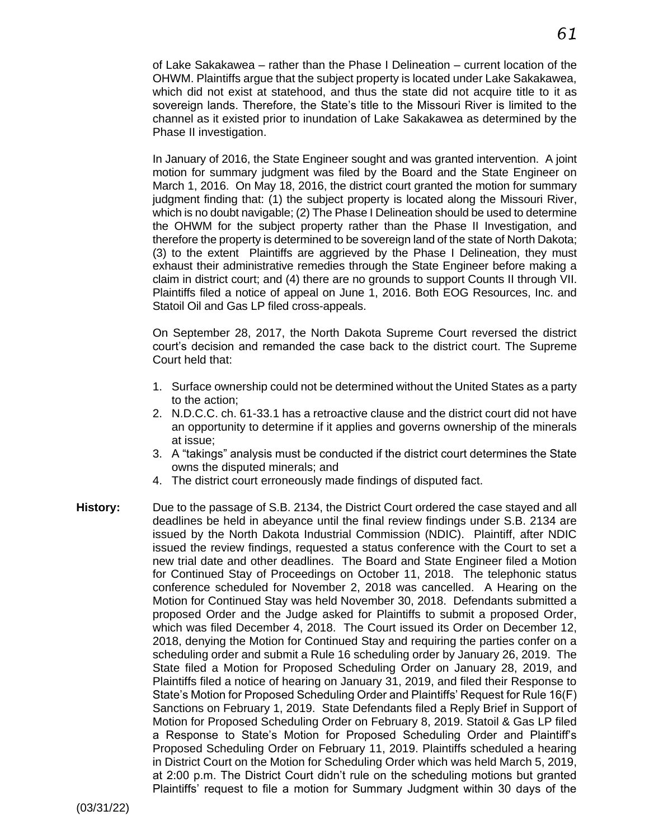of Lake Sakakawea – rather than the Phase I Delineation – current location of the OHWM. Plaintiffs argue that the subject property is located under Lake Sakakawea, which did not exist at statehood, and thus the state did not acquire title to it as sovereign lands. Therefore, the State's title to the Missouri River is limited to the channel as it existed prior to inundation of Lake Sakakawea as determined by the Phase II investigation.

In January of 2016, the State Engineer sought and was granted intervention. A joint motion for summary judgment was filed by the Board and the State Engineer on March 1, 2016. On May 18, 2016, the district court granted the motion for summary judgment finding that: (1) the subject property is located along the Missouri River, which is no doubt navigable; (2) The Phase I Delineation should be used to determine the OHWM for the subject property rather than the Phase II Investigation, and therefore the property is determined to be sovereign land of the state of North Dakota; (3) to the extent Plaintiffs are aggrieved by the Phase I Delineation, they must exhaust their administrative remedies through the State Engineer before making a claim in district court; and (4) there are no grounds to support Counts II through VII. Plaintiffs filed a notice of appeal on June 1, 2016. Both EOG Resources, Inc. and Statoil Oil and Gas LP filed cross-appeals.

On September 28, 2017, the North Dakota Supreme Court reversed the district court's decision and remanded the case back to the district court. The Supreme Court held that:

- 1. Surface ownership could not be determined without the United States as a party to the action;
- 2. N.D.C.C. ch. 61-33.1 has a retroactive clause and the district court did not have an opportunity to determine if it applies and governs ownership of the minerals at issue;
- 3. A "takings" analysis must be conducted if the district court determines the State owns the disputed minerals; and
- 4. The district court erroneously made findings of disputed fact.
- **History:** Due to the passage of S.B. 2134, the District Court ordered the case stayed and all deadlines be held in abeyance until the final review findings under S.B. 2134 are issued by the North Dakota Industrial Commission (NDIC). Plaintiff, after NDIC issued the review findings, requested a status conference with the Court to set a new trial date and other deadlines. The Board and State Engineer filed a Motion for Continued Stay of Proceedings on October 11, 2018. The telephonic status conference scheduled for November 2, 2018 was cancelled.A Hearing on the Motion for Continued Stay was held November 30, 2018. Defendants submitted a proposed Order and the Judge asked for Plaintiffs to submit a proposed Order, which was filed December 4, 2018. The Court issued its Order on December 12, 2018, denying the Motion for Continued Stay and requiring the parties confer on a scheduling order and submit a Rule 16 scheduling order by January 26, 2019. The State filed a Motion for Proposed Scheduling Order on January 28, 2019, and Plaintiffs filed a notice of hearing on January 31, 2019, and filed their Response to State's Motion for Proposed Scheduling Order and Plaintiffs' Request for Rule 16(F) Sanctions on February 1, 2019. State Defendants filed a Reply Brief in Support of Motion for Proposed Scheduling Order on February 8, 2019. Statoil & Gas LP filed a Response to State's Motion for Proposed Scheduling Order and Plaintiff's Proposed Scheduling Order on February 11, 2019. Plaintiffs scheduled a hearing in District Court on the Motion for Scheduling Order which was held March 5, 2019, at 2:00 p.m. The District Court didn't rule on the scheduling motions but granted Plaintiffs' request to file a motion for Summary Judgment within 30 days of the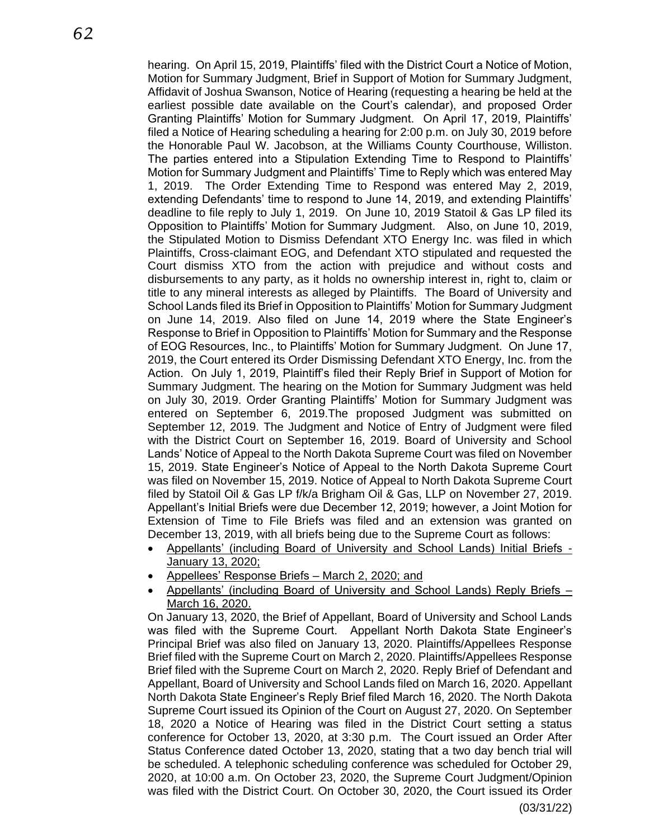hearing. On April 15, 2019, Plaintiffs' filed with the District Court a Notice of Motion, Motion for Summary Judgment, Brief in Support of Motion for Summary Judgment, Affidavit of Joshua Swanson, Notice of Hearing (requesting a hearing be held at the earliest possible date available on the Court's calendar), and proposed Order Granting Plaintiffs' Motion for Summary Judgment. On April 17, 2019, Plaintiffs' filed a Notice of Hearing scheduling a hearing for 2:00 p.m. on July 30, 2019 before the Honorable Paul W. Jacobson, at the Williams County Courthouse, Williston. The parties entered into a Stipulation Extending Time to Respond to Plaintiffs' Motion for Summary Judgment and Plaintiffs' Time to Reply which was entered May 1, 2019. The Order Extending Time to Respond was entered May 2, 2019, extending Defendants' time to respond to June 14, 2019, and extending Plaintiffs' deadline to file reply to July 1, 2019. On June 10, 2019 Statoil & Gas LP filed its Opposition to Plaintiffs' Motion for Summary Judgment. Also, on June 10, 2019, the Stipulated Motion to Dismiss Defendant XTO Energy Inc. was filed in which Plaintiffs, Cross-claimant EOG, and Defendant XTO stipulated and requested the Court dismiss XTO from the action with prejudice and without costs and disbursements to any party, as it holds no ownership interest in, right to, claim or title to any mineral interests as alleged by Plaintiffs. The Board of University and School Lands filed its Brief in Opposition to Plaintiffs' Motion for Summary Judgment on June 14, 2019. Also filed on June 14, 2019 where the State Engineer's Response to Brief in Opposition to Plaintiffs' Motion for Summary and the Response of EOG Resources, Inc., to Plaintiffs' Motion for Summary Judgment. On June 17, 2019, the Court entered its Order Dismissing Defendant XTO Energy, Inc. from the Action. On July 1, 2019, Plaintiff's filed their Reply Brief in Support of Motion for Summary Judgment. The hearing on the Motion for Summary Judgment was held on July 30, 2019. Order Granting Plaintiffs' Motion for Summary Judgment was entered on September 6, 2019.The proposed Judgment was submitted on September 12, 2019. The Judgment and Notice of Entry of Judgment were filed with the District Court on September 16, 2019. Board of University and School Lands' Notice of Appeal to the North Dakota Supreme Court was filed on November 15, 2019. State Engineer's Notice of Appeal to the North Dakota Supreme Court was filed on November 15, 2019. Notice of Appeal to North Dakota Supreme Court filed by Statoil Oil & Gas LP f/k/a Brigham Oil & Gas, LLP on November 27, 2019. Appellant's Initial Briefs were due December 12, 2019; however, a Joint Motion for Extension of Time to File Briefs was filed and an extension was granted on December 13, 2019, with all briefs being due to the Supreme Court as follows:

- Appellants' (including Board of University and School Lands) Initial Briefs January 13, 2020;
- Appellees' Response Briefs March 2, 2020; and
- Appellants' (including Board of University and School Lands) Reply Briefs March 16, 2020.

On January 13, 2020, the Brief of Appellant, Board of University and School Lands was filed with the Supreme Court. Appellant North Dakota State Engineer's Principal Brief was also filed on January 13, 2020. Plaintiffs/Appellees Response Brief filed with the Supreme Court on March 2, 2020. Plaintiffs/Appellees Response Brief filed with the Supreme Court on March 2, 2020. Reply Brief of Defendant and Appellant, Board of University and School Lands filed on March 16, 2020. Appellant North Dakota State Engineer's Reply Brief filed March 16, 2020. The North Dakota Supreme Court issued its Opinion of the Court on August 27, 2020. On September 18, 2020 a Notice of Hearing was filed in the District Court setting a status conference for October 13, 2020, at 3:30 p.m. The Court issued an Order After Status Conference dated October 13, 2020, stating that a two day bench trial will be scheduled. A telephonic scheduling conference was scheduled for October 29, 2020, at 10:00 a.m. On October 23, 2020, the Supreme Court Judgment/Opinion was filed with the District Court. On October 30, 2020, the Court issued its Order

(03/31/22)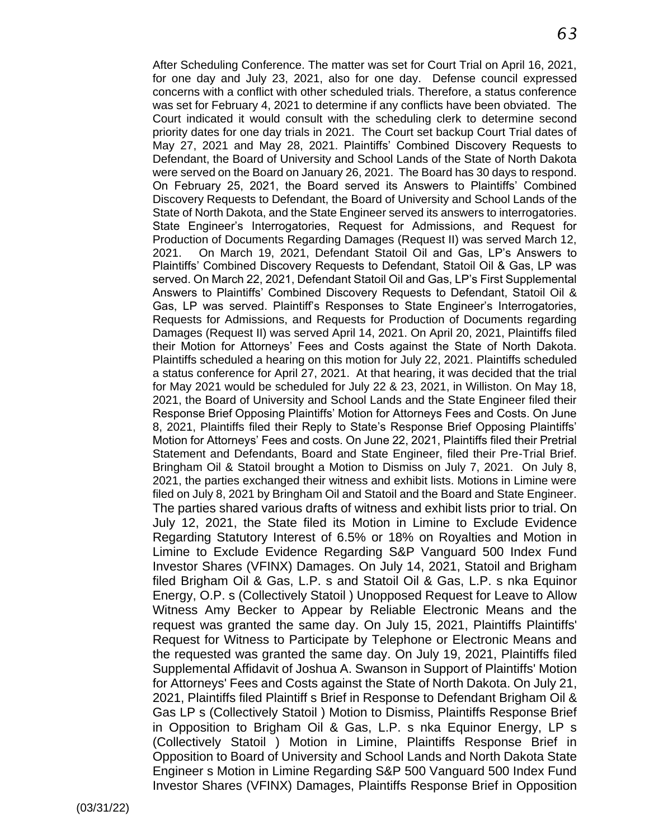After Scheduling Conference. The matter was set for Court Trial on April 16, 2021, for one day and July 23, 2021, also for one day. Defense council expressed concerns with a conflict with other scheduled trials. Therefore, a status conference was set for February 4, 2021 to determine if any conflicts have been obviated. The Court indicated it would consult with the scheduling clerk to determine second priority dates for one day trials in 2021. The Court set backup Court Trial dates of May 27, 2021 and May 28, 2021. Plaintiffs' Combined Discovery Requests to Defendant, the Board of University and School Lands of the State of North Dakota were served on the Board on January 26, 2021. The Board has 30 days to respond. On February 25, 2021, the Board served its Answers to Plaintiffs' Combined Discovery Requests to Defendant, the Board of University and School Lands of the State of North Dakota, and the State Engineer served its answers to interrogatories. State Engineer's Interrogatories, Request for Admissions, and Request for Production of Documents Regarding Damages (Request II) was served March 12, 2021. On March 19, 2021, Defendant Statoil Oil and Gas, LP's Answers to Plaintiffs' Combined Discovery Requests to Defendant, Statoil Oil & Gas, LP was served. On March 22, 2021, Defendant Statoil Oil and Gas, LP's First Supplemental Answers to Plaintiffs' Combined Discovery Requests to Defendant, Statoil Oil & Gas, LP was served. Plaintiff's Responses to State Engineer's Interrogatories, Requests for Admissions, and Requests for Production of Documents regarding Damages (Request II) was served April 14, 2021. On April 20, 2021, Plaintiffs filed their Motion for Attorneys' Fees and Costs against the State of North Dakota. Plaintiffs scheduled a hearing on this motion for July 22, 2021. Plaintiffs scheduled a status conference for April 27, 2021. At that hearing, it was decided that the trial for May 2021 would be scheduled for July 22 & 23, 2021, in Williston. On May 18, 2021, the Board of University and School Lands and the State Engineer filed their Response Brief Opposing Plaintiffs' Motion for Attorneys Fees and Costs. On June 8, 2021, Plaintiffs filed their Reply to State's Response Brief Opposing Plaintiffs' Motion for Attorneys' Fees and costs. On June 22, 2021, Plaintiffs filed their Pretrial Statement and Defendants, Board and State Engineer, filed their Pre-Trial Brief. Bringham Oil & Statoil brought a Motion to Dismiss on July 7, 2021. On July 8, 2021, the parties exchanged their witness and exhibit lists. Motions in Limine were filed on July 8, 2021 by Bringham Oil and Statoil and the Board and State Engineer. The parties shared various drafts of witness and exhibit lists prior to trial. On July 12, 2021, the State filed its Motion in Limine to Exclude Evidence Regarding Statutory Interest of 6.5% or 18% on Royalties and Motion in Limine to Exclude Evidence Regarding S&P Vanguard 500 Index Fund Investor Shares (VFINX) Damages. On July 14, 2021, Statoil and Brigham filed Brigham Oil & Gas, L.P. s and Statoil Oil & Gas, L.P. s nka Equinor Energy, O.P. s (Collectively Statoil ) Unopposed Request for Leave to Allow Witness Amy Becker to Appear by Reliable Electronic Means and the request was granted the same day. On July 15, 2021, Plaintiffs Plaintiffs' Request for Witness to Participate by Telephone or Electronic Means and the requested was granted the same day. On July 19, 2021, Plaintiffs filed Supplemental Affidavit of Joshua A. Swanson in Support of Plaintiffs' Motion for Attorneys' Fees and Costs against the State of North Dakota. On July 21, 2021, Plaintiffs filed Plaintiff s Brief in Response to Defendant Brigham Oil & Gas LP s (Collectively Statoil ) Motion to Dismiss, Plaintiffs Response Brief in Opposition to Brigham Oil & Gas, L.P. s nka Equinor Energy, LP s (Collectively Statoil ) Motion in Limine, Plaintiffs Response Brief in Opposition to Board of University and School Lands and North Dakota State Engineer s Motion in Limine Regarding S&P 500 Vanguard 500 Index Fund Investor Shares (VFINX) Damages, Plaintiffs Response Brief in Opposition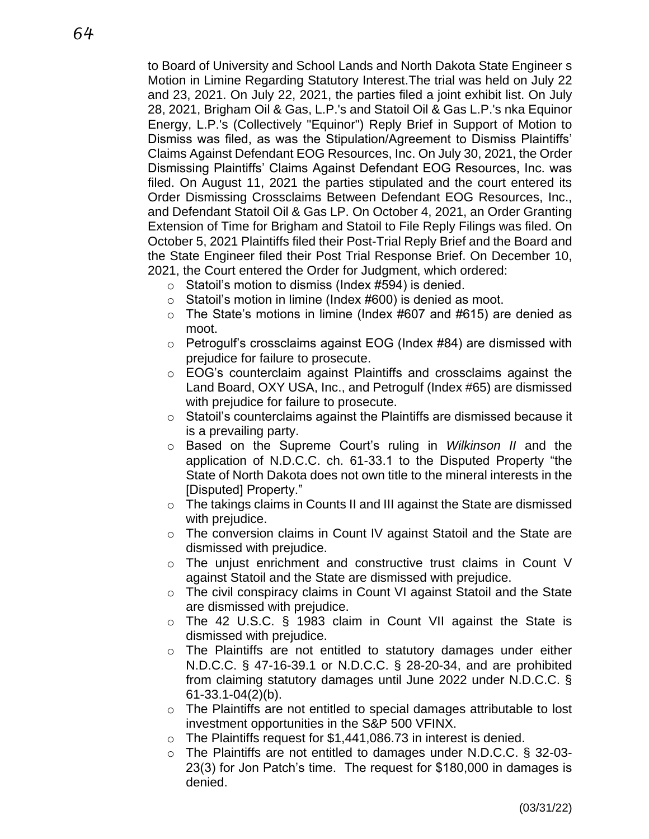to Board of University and School Lands and North Dakota State Engineer s Motion in Limine Regarding Statutory Interest.The trial was held on July 22 and 23, 2021. On July 22, 2021, the parties filed a joint exhibit list. On July 28, 2021, Brigham Oil & Gas, L.P.'s and Statoil Oil & Gas L.P.'s nka Equinor Energy, L.P.'s (Collectively "Equinor") Reply Brief in Support of Motion to Dismiss was filed, as was the Stipulation/Agreement to Dismiss Plaintiffs' Claims Against Defendant EOG Resources, Inc. On July 30, 2021, the Order Dismissing Plaintiffs' Claims Against Defendant EOG Resources, Inc. was filed. On August 11, 2021 the parties stipulated and the court entered its Order Dismissing Crossclaims Between Defendant EOG Resources, Inc., and Defendant Statoil Oil & Gas LP. On October 4, 2021, an Order Granting Extension of Time for Brigham and Statoil to File Reply Filings was filed. On October 5, 2021 Plaintiffs filed their Post-Trial Reply Brief and the Board and the State Engineer filed their Post Trial Response Brief. On December 10, 2021, the Court entered the Order for Judgment, which ordered:

- $\circ$  Statoil's motion to dismiss (Index #594) is denied.
- o Statoil's motion in limine (Index #600) is denied as moot.
- $\circ$  The State's motions in limine (Index #607 and #615) are denied as moot.
- o Petrogulf's crossclaims against EOG (Index #84) are dismissed with prejudice for failure to prosecute.
- o EOG's counterclaim against Plaintiffs and crossclaims against the Land Board, OXY USA, Inc., and Petrogulf (Index #65) are dismissed with prejudice for failure to prosecute.
- $\circ$  Statoil's counterclaims against the Plaintiffs are dismissed because it is a prevailing party.
- o Based on the Supreme Court's ruling in *Wilkinson II* and the application of N.D.C.C. ch. 61-33.1 to the Disputed Property "the State of North Dakota does not own title to the mineral interests in the [Disputed] Property."
- o The takings claims in Counts II and III against the State are dismissed with prejudice.
- $\circ$  The conversion claims in Count IV against Statoil and the State are dismissed with prejudice.
- $\circ$  The unjust enrichment and constructive trust claims in Count V against Statoil and the State are dismissed with prejudice.
- o The civil conspiracy claims in Count VI against Statoil and the State are dismissed with prejudice.
- o The 42 U.S.C. § 1983 claim in Count VII against the State is dismissed with prejudice.
- $\circ$  The Plaintiffs are not entitled to statutory damages under either N.D.C.C. § 47-16-39.1 or N.D.C.C. § 28-20-34, and are prohibited from claiming statutory damages until June 2022 under N.D.C.C. § 61-33.1-04(2)(b).
- $\circ$  The Plaintiffs are not entitled to special damages attributable to lost investment opportunities in the S&P 500 VFINX.
- $\circ$  The Plaintiffs request for \$1,441,086.73 in interest is denied.
- $\circ$  The Plaintiffs are not entitled to damages under N.D.C.C. § 32-03-23(3) for Jon Patch's time. The request for \$180,000 in damages is denied.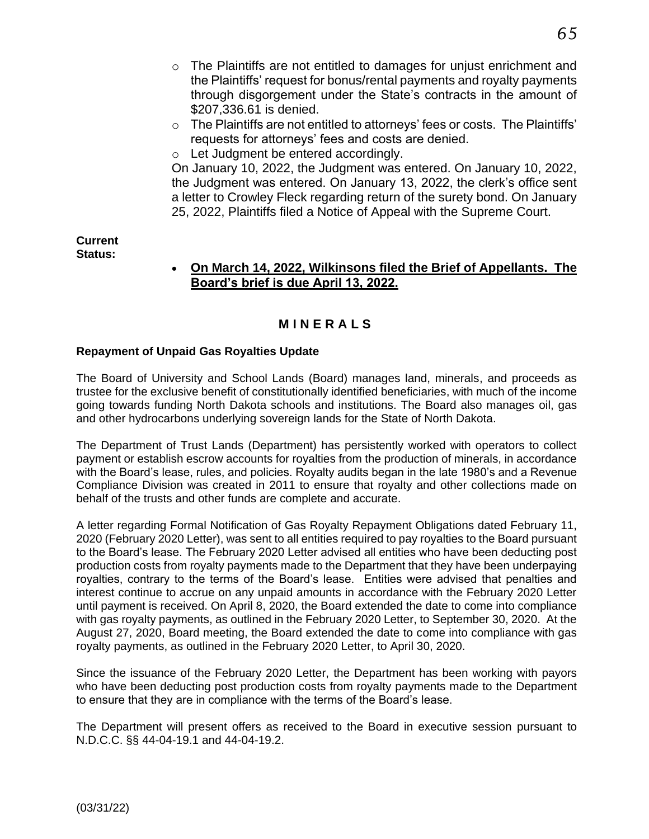- $\circ$  The Plaintiffs are not entitled to damages for unjust enrichment and the Plaintiffs' request for bonus/rental payments and royalty payments through disgorgement under the State's contracts in the amount of \$207,336.61 is denied.
- o The Plaintiffs are not entitled to attorneys' fees or costs. The Plaintiffs' requests for attorneys' fees and costs are denied.
- o Let Judgment be entered accordingly.

On January 10, 2022, the Judgment was entered. On January 10, 2022, the Judgment was entered. On January 13, 2022, the clerk's office sent a letter to Crowley Fleck regarding return of the surety bond. On January 25, 2022, Plaintiffs filed a Notice of Appeal with the Supreme Court.

#### **Current Status:**

#### • **On March 14, 2022, Wilkinsons filed the Brief of Appellants. The Board's brief is due April 13, 2022.**

## **M I N E R A L S**

#### **Repayment of Unpaid Gas Royalties Update**

The Board of University and School Lands (Board) manages land, minerals, and proceeds as trustee for the exclusive benefit of constitutionally identified beneficiaries, with much of the income going towards funding North Dakota schools and institutions. The Board also manages oil, gas and other hydrocarbons underlying sovereign lands for the State of North Dakota.

The Department of Trust Lands (Department) has persistently worked with operators to collect payment or establish escrow accounts for royalties from the production of minerals, in accordance with the Board's lease, rules, and policies. Royalty audits began in the late 1980's and a Revenue Compliance Division was created in 2011 to ensure that royalty and other collections made on behalf of the trusts and other funds are complete and accurate.

A letter regarding Formal Notification of Gas Royalty Repayment Obligations dated February 11, 2020 (February 2020 Letter), was sent to all entities required to pay royalties to the Board pursuant to the Board's lease. The February 2020 Letter advised all entities who have been deducting post production costs from royalty payments made to the Department that they have been underpaying royalties, contrary to the terms of the Board's lease. Entities were advised that penalties and interest continue to accrue on any unpaid amounts in accordance with the February 2020 Letter until payment is received. On April 8, 2020, the Board extended the date to come into compliance with gas royalty payments, as outlined in the February 2020 Letter, to September 30, 2020. At the August 27, 2020, Board meeting, the Board extended the date to come into compliance with gas royalty payments, as outlined in the February 2020 Letter, to April 30, 2020.

Since the issuance of the February 2020 Letter, the Department has been working with payors who have been deducting post production costs from royalty payments made to the Department to ensure that they are in compliance with the terms of the Board's lease.

The Department will present offers as received to the Board in executive session pursuant to N.D.C.C. §§ 44-04-19.1 and 44-04-19.2.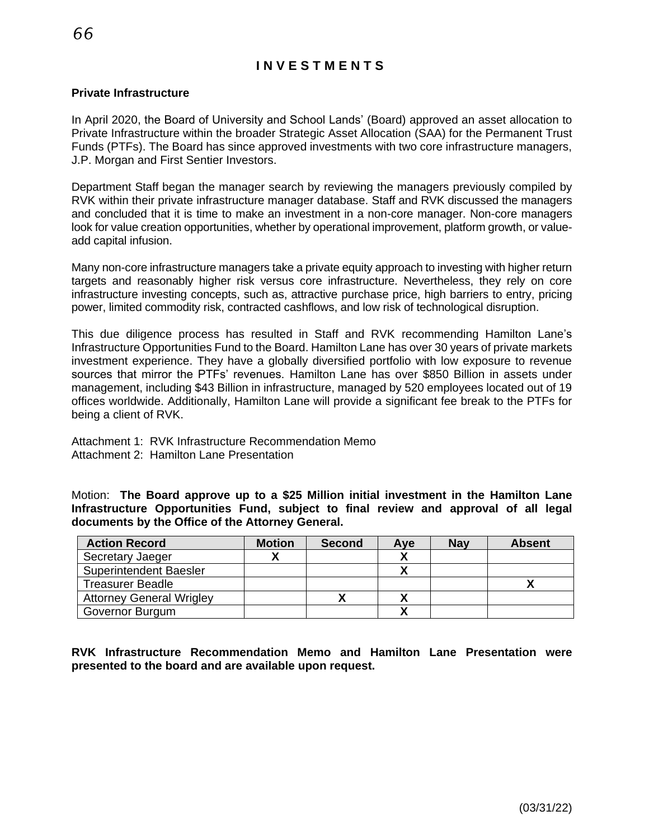# **I N V E S T M E N T S**

#### **Private Infrastructure**

In April 2020, the Board of University and School Lands' (Board) approved an asset allocation to Private Infrastructure within the broader Strategic Asset Allocation (SAA) for the Permanent Trust Funds (PTFs). The Board has since approved investments with two core infrastructure managers, J.P. Morgan and First Sentier Investors.

Department Staff began the manager search by reviewing the managers previously compiled by RVK within their private infrastructure manager database. Staff and RVK discussed the managers and concluded that it is time to make an investment in a non-core manager. Non-core managers look for value creation opportunities, whether by operational improvement, platform growth, or valueadd capital infusion.

Many non-core infrastructure managers take a private equity approach to investing with higher return targets and reasonably higher risk versus core infrastructure. Nevertheless, they rely on core infrastructure investing concepts, such as, attractive purchase price, high barriers to entry, pricing power, limited commodity risk, contracted cashflows, and low risk of technological disruption.

This due diligence process has resulted in Staff and RVK recommending Hamilton Lane's Infrastructure Opportunities Fund to the Board. Hamilton Lane has over 30 years of private markets investment experience. They have a globally diversified portfolio with low exposure to revenue sources that mirror the PTFs' revenues. Hamilton Lane has over \$850 Billion in assets under management, including \$43 Billion in infrastructure, managed by 520 employees located out of 19 offices worldwide. Additionally, Hamilton Lane will provide a significant fee break to the PTFs for being a client of RVK.

Attachment 1: RVK Infrastructure Recommendation Memo Attachment 2: Hamilton Lane Presentation

Motion: **The Board approve up to a \$25 Million initial investment in the Hamilton Lane Infrastructure Opportunities Fund, subject to final review and approval of all legal documents by the Office of the Attorney General.**

| <b>Action Record</b>            | <b>Motion</b> | <b>Second</b> | Ave | <b>Nay</b> | <b>Absent</b> |
|---------------------------------|---------------|---------------|-----|------------|---------------|
| Secretary Jaeger                |               |               |     |            |               |
| <b>Superintendent Baesler</b>   |               |               |     |            |               |
| <b>Treasurer Beadle</b>         |               |               |     |            |               |
| <b>Attorney General Wrigley</b> |               |               |     |            |               |
| Governor Burgum                 |               |               |     |            |               |

**RVK Infrastructure Recommendation Memo and Hamilton Lane Presentation were presented to the board and are available upon request.**